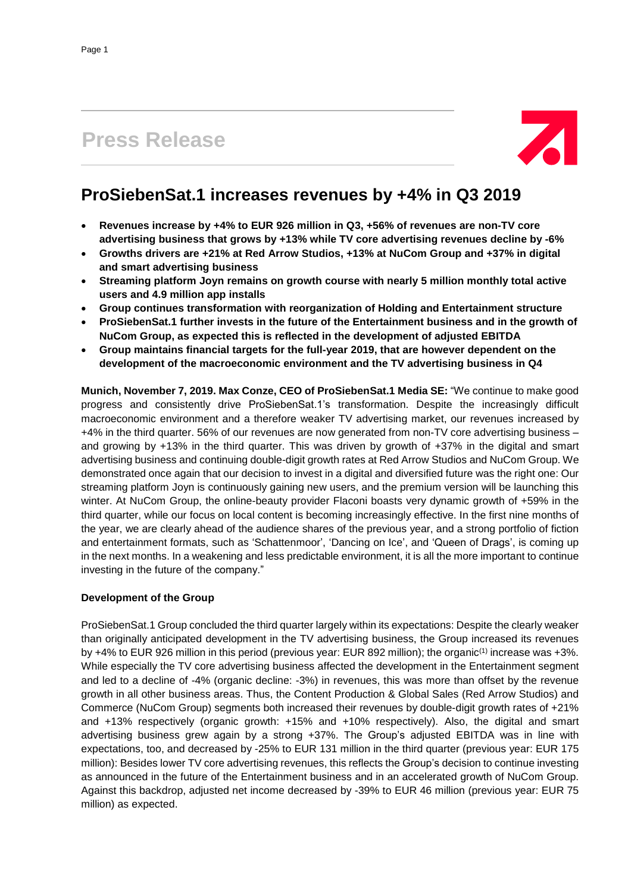# **Press Release**



# **ProSiebenSat.1 increases revenues by +4% in Q3 2019**

- **Revenues increase by +4% to EUR 926 million in Q3, +56% of revenues are non-TV core advertising business that grows by +13% while TV core advertising revenues decline by -6%**
- **Growths drivers are +21% at Red Arrow Studios, +13% at NuCom Group and +37% in digital and smart advertising business**
- **Streaming platform Joyn remains on growth course with nearly 5 million monthly total active users and 4.9 million app installs**
- **Group continues transformation with reorganization of Holding and Entertainment structure**
- **ProSiebenSat.1 further invests in the future of the Entertainment business and in the growth of NuCom Group, as expected this is reflected in the development of adjusted EBITDA**
- **Group maintains financial targets for the full-year 2019, that are however dependent on the development of the macroeconomic environment and the TV advertising business in Q4**

**Munich, November 7, 2019. Max Conze, CEO of ProSiebenSat.1 Media SE:** "We continue to make good progress and consistently drive ProSiebenSat.1's transformation. Despite the increasingly difficult macroeconomic environment and a therefore weaker TV advertising market, our revenues increased by +4% in the third quarter. 56% of our revenues are now generated from non-TV core advertising business – and growing by +13% in the third quarter. This was driven by growth of +37% in the digital and smart advertising business and continuing double-digit growth rates at Red Arrow Studios and NuCom Group. We demonstrated once again that our decision to invest in a digital and diversified future was the right one: Our streaming platform Joyn is continuously gaining new users, and the premium version will be launching this winter. At NuCom Group, the online-beauty provider Flaconi boasts very dynamic growth of +59% in the third quarter, while our focus on local content is becoming increasingly effective. In the first nine months of the year, we are clearly ahead of the audience shares of the previous year, and a strong portfolio of fiction and entertainment formats, such as 'Schattenmoor', 'Dancing on Ice', and 'Queen of Drags', is coming up in the next months. In a weakening and less predictable environment, it is all the more important to continue investing in the future of the company."

# **Development of the Group**

ProSiebenSat.1 Group concluded the third quarter largely within its expectations: Despite the clearly weaker than originally anticipated development in the TV advertising business, the Group increased its revenues by +4% to EUR 926 million in this period (previous year: EUR 892 million); the organic<sup>(1)</sup> increase was +3%. While especially the TV core advertising business affected the development in the Entertainment segment and led to a decline of -4% (organic decline: -3%) in revenues, this was more than offset by the revenue growth in all other business areas. Thus, the Content Production & Global Sales (Red Arrow Studios) and Commerce (NuCom Group) segments both increased their revenues by double-digit growth rates of +21% and +13% respectively (organic growth: +15% and +10% respectively). Also, the digital and smart advertising business grew again by a strong +37%. The Group's adjusted EBITDA was in line with expectations, too, and decreased by -25% to EUR 131 million in the third quarter (previous year: EUR 175 million): Besides lower TV core advertising revenues, this reflects the Group's decision to continue investing as announced in the future of the Entertainment business and in an accelerated growth of NuCom Group. Against this backdrop, adjusted net income decreased by -39% to EUR 46 million (previous year: EUR 75 million) as expected.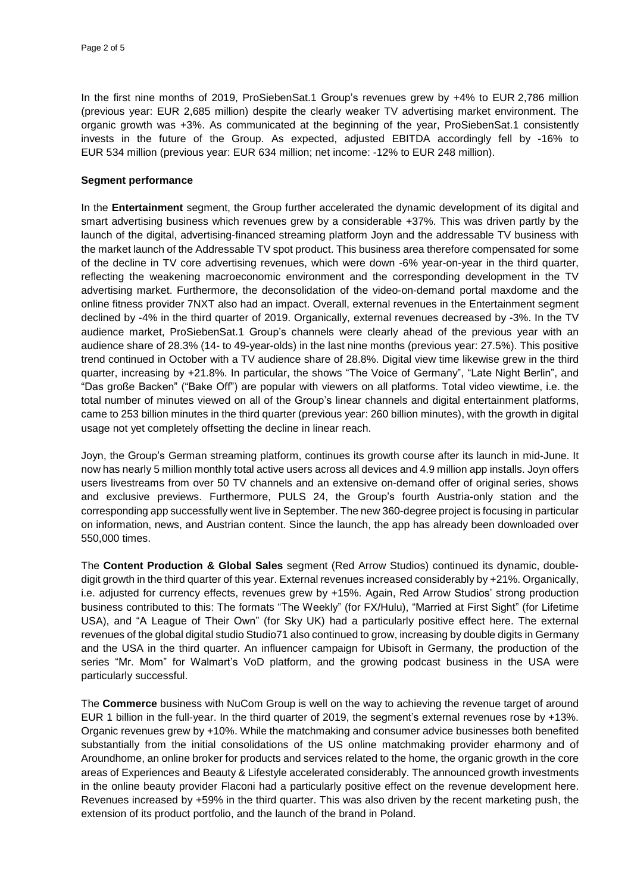In the first nine months of 2019, ProSiebenSat.1 Group's revenues grew by +4% to EUR 2,786 million (previous year: EUR 2,685 million) despite the clearly weaker TV advertising market environment. The organic growth was +3%. As communicated at the beginning of the year, ProSiebenSat.1 consistently invests in the future of the Group. As expected, adjusted EBITDA accordingly fell by -16% to EUR 534 million (previous year: EUR 634 million; net income: -12% to EUR 248 million).

## **Segment performance**

In the **Entertainment** segment, the Group further accelerated the dynamic development of its digital and smart advertising business which revenues grew by a considerable +37%. This was driven partly by the launch of the digital, advertising-financed streaming platform Joyn and the addressable TV business with the market launch of the Addressable TV spot product. This business area therefore compensated for some of the decline in TV core advertising revenues, which were down -6% year-on-year in the third quarter, reflecting the weakening macroeconomic environment and the corresponding development in the TV advertising market. Furthermore, the deconsolidation of the video-on-demand portal maxdome and the online fitness provider 7NXT also had an impact. Overall, external revenues in the Entertainment segment declined by -4% in the third quarter of 2019. Organically, external revenues decreased by -3%. In the TV audience market, ProSiebenSat.1 Group's channels were clearly ahead of the previous year with an audience share of 28.3% (14- to 49-year-olds) in the last nine months (previous year: 27.5%). This positive trend continued in October with a TV audience share of 28.8%. Digital view time likewise grew in the third quarter, increasing by +21.8%. In particular, the shows "The Voice of Germany", "Late Night Berlin", and "Das große Backen" ("Bake Off") are popular with viewers on all platforms. Total video viewtime, i.e. the total number of minutes viewed on all of the Group's linear channels and digital entertainment platforms, came to 253 billion minutes in the third quarter (previous year: 260 billion minutes), with the growth in digital usage not yet completely offsetting the decline in linear reach.

Joyn, the Group's German streaming platform, continues its growth course after its launch in mid-June. It now has nearly 5 million monthly total active users across all devices and 4.9 million app installs. Joyn offers users livestreams from over 50 TV channels and an extensive on-demand offer of original series, shows and exclusive previews. Furthermore, PULS 24, the Group's fourth Austria-only station and the corresponding app successfully went live in September. The new 360-degree project is focusing in particular on information, news, and Austrian content. Since the launch, the app has already been downloaded over 550,000 times.

The **Content Production & Global Sales** segment (Red Arrow Studios) continued its dynamic, doubledigit growth in the third quarter of this year. External revenues increased considerably by +21%. Organically, i.e. adjusted for currency effects, revenues grew by +15%. Again, Red Arrow Studios' strong production business contributed to this: The formats "The Weekly" (for FX/Hulu), "Married at First Sight" (for Lifetime USA), and "A League of Their Own" (for Sky UK) had a particularly positive effect here. The external revenues of the global digital studio Studio71 also continued to grow, increasing by double digits in Germany and the USA in the third quarter. An influencer campaign for Ubisoft in Germany, the production of the series "Mr. Mom" for Walmart's VoD platform, and the growing podcast business in the USA were particularly successful.

The **Commerce** business with NuCom Group is well on the way to achieving the revenue target of around EUR 1 billion in the full-year. In the third quarter of 2019, the segment's external revenues rose by +13%. Organic revenues grew by +10%. While the matchmaking and consumer advice businesses both benefited substantially from the initial consolidations of the US online matchmaking provider eharmony and of Aroundhome, an online broker for products and services related to the home, the organic growth in the core areas of Experiences and Beauty & Lifestyle accelerated considerably. The announced growth investments in the online beauty provider Flaconi had a particularly positive effect on the revenue development here. Revenues increased by +59% in the third quarter. This was also driven by the recent marketing push, the extension of its product portfolio, and the launch of the brand in Poland.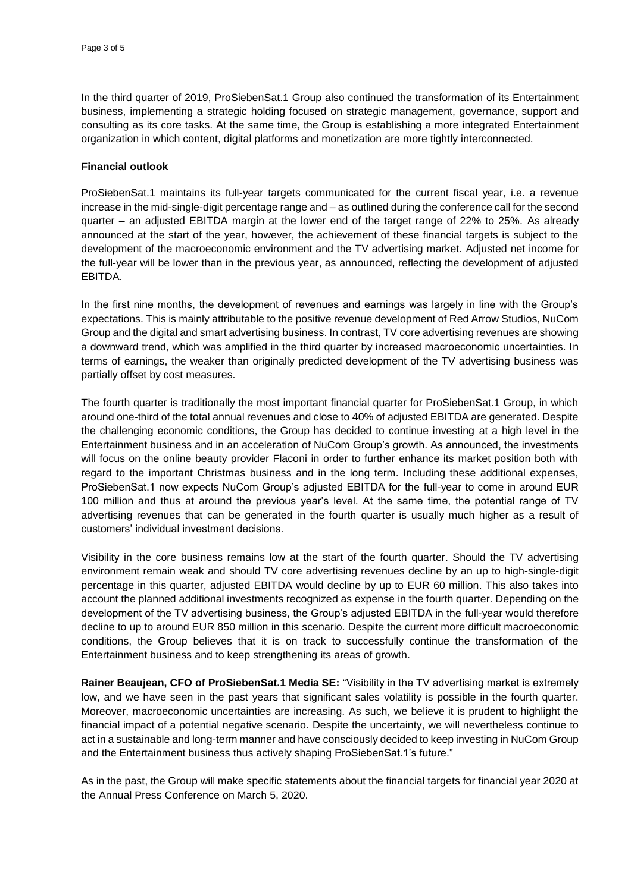In the third quarter of 2019, ProSiebenSat.1 Group also continued the transformation of its Entertainment business, implementing a strategic holding focused on strategic management, governance, support and consulting as its core tasks. At the same time, the Group is establishing a more integrated Entertainment organization in which content, digital platforms and monetization are more tightly interconnected.

## **Financial outlook**

ProSiebenSat.1 maintains its full-year targets communicated for the current fiscal year, i.e. a revenue increase in the mid-single-digit percentage range and – as outlined during the conference call for the second quarter – an adjusted EBITDA margin at the lower end of the target range of 22% to 25%. As already announced at the start of the year, however, the achievement of these financial targets is subject to the development of the macroeconomic environment and the TV advertising market. Adjusted net income for the full-year will be lower than in the previous year, as announced, reflecting the development of adjusted EBITDA.

In the first nine months, the development of revenues and earnings was largely in line with the Group's expectations. This is mainly attributable to the positive revenue development of Red Arrow Studios, NuCom Group and the digital and smart advertising business. In contrast, TV core advertising revenues are showing a downward trend, which was amplified in the third quarter by increased macroeconomic uncertainties. In terms of earnings, the weaker than originally predicted development of the TV advertising business was partially offset by cost measures.

The fourth quarter is traditionally the most important financial quarter for ProSiebenSat.1 Group, in which around one-third of the total annual revenues and close to 40% of adjusted EBITDA are generated. Despite the challenging economic conditions, the Group has decided to continue investing at a high level in the Entertainment business and in an acceleration of NuCom Group's growth. As announced, the investments will focus on the online beauty provider Flaconi in order to further enhance its market position both with regard to the important Christmas business and in the long term. Including these additional expenses, ProSiebenSat.1 now expects NuCom Group's adjusted EBITDA for the full-year to come in around EUR 100 million and thus at around the previous year's level. At the same time, the potential range of TV advertising revenues that can be generated in the fourth quarter is usually much higher as a result of customers' individual investment decisions.

Visibility in the core business remains low at the start of the fourth quarter. Should the TV advertising environment remain weak and should TV core advertising revenues decline by an up to high-single-digit percentage in this quarter, adjusted EBITDA would decline by up to EUR 60 million. This also takes into account the planned additional investments recognized as expense in the fourth quarter. Depending on the development of the TV advertising business, the Group's adjusted EBITDA in the full-year would therefore decline to up to around EUR 850 million in this scenario. Despite the current more difficult macroeconomic conditions, the Group believes that it is on track to successfully continue the transformation of the Entertainment business and to keep strengthening its areas of growth.

**Rainer Beaujean, CFO of ProSiebenSat.1 Media SE:** "Visibility in the TV advertising market is extremely low, and we have seen in the past years that significant sales volatility is possible in the fourth quarter. Moreover, macroeconomic uncertainties are increasing. As such, we believe it is prudent to highlight the financial impact of a potential negative scenario. Despite the uncertainty, we will nevertheless continue to act in a sustainable and long-term manner and have consciously decided to keep investing in NuCom Group and the Entertainment business thus actively shaping ProSiebenSat.1's future."

As in the past, the Group will make specific statements about the financial targets for financial year 2020 at the Annual Press Conference on March 5, 2020.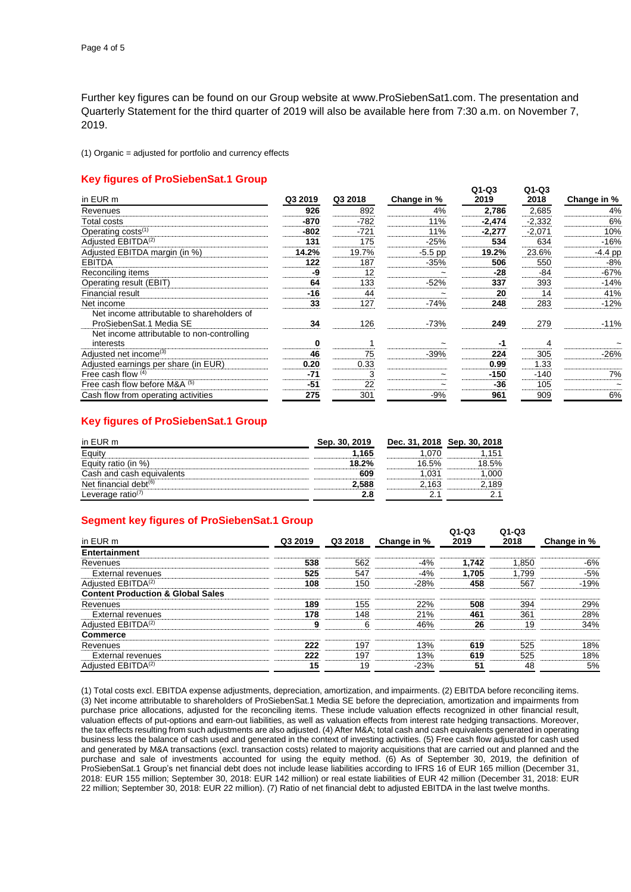Further key figures can be found on our Group website at www.ProSiebenSat1.com. The presentation and Quarterly Statement for the third quarter of 2019 will also be available here from 7:30 a.m. on November 7, 2019.

(1) Organic = adjusted for portfolio and currency effects

## **Key figures of ProSiebenSat.1 Group**

| in EUR m                                                              | Q3 2019 | Q3 2018 | Change in % | ---<br>2019 | ---<br>2018 | Change in % |
|-----------------------------------------------------------------------|---------|---------|-------------|-------------|-------------|-------------|
| Revenues                                                              | 926     | 892     | 4%          | 2,786       | 2,685       | 4%          |
| Total costs                                                           | -870    | $-782$  | 11%         | $-2,474$    | $-2,332$    | 6%          |
| Operating costs <sup>(1)</sup>                                        | -802    | $-721$  | 11%         | -2,277      | $-2,071$    | 10%         |
| Adjusted EBITDA <sup>(2)</sup>                                        | 131     | 175     | $-25%$      | 534         | 634         | $-16%$      |
| Adjusted EBITDA margin (in %)                                         | 14.2%   | 19.7%   | $-5.5$ pp   | 19.2%       | 23.6%       | $-4.4$ pp   |
| <b>EBITDA</b>                                                         | 122     | 187     | $-35%$      | 506         | 550         | -8%         |
| Reconciling items                                                     | -9      | 12      |             | -28         | -84         | $-67%$      |
| Operating result (EBIT)                                               | 64      | 133     | $-52%$      | 337         | 393         | $-14%$      |
| Financial result                                                      | $-16$   | 44      |             | 20          | 14          | 41%         |
| Net income                                                            | 33      | 127     | $-74%$      | 248         | 283         | $-12%$      |
| Net income attributable to shareholders of<br>ProSiebenSat.1 Media SE | 34      | 126     | $-73%$      | 249         | 279         | $-11%$      |
| Net income attributable to non-controlling<br>interests               | ŋ       |         |             | -1          |             |             |
| Adjusted net income <sup>(3)</sup>                                    | 46      | 75      | $-39%$      | 224         | 305         | $-26%$      |
| Adjusted earnings per share (in EUR)                                  | 0.20    | 0.33    |             | 0.99        | 1.33        |             |
| Free cash flow $(4)$                                                  | $-71$   | 3       |             | $-150$      | $-140$      | 7%          |
| Free cash flow before M&A (5)                                         | -51     | 22      |             | -36         | 105         |             |
| Cash flow from operating activities                                   | 275     | 301     | $-9%$       | 961         | 909         | 6%          |

**Q1-Q3**

**Q1-Q3**

**Q1-Q3**

**Q1-Q3**

#### **Key figures of ProSiebenSat.1 Group**

| in EUR m                      | Sep. 30, 2019 | Dec. 31, 2018 Sep. 30, 2018 |       |
|-------------------------------|---------------|-----------------------------|-------|
| Eauity                        | .165          |                             | 151   |
| Equity ratio (in %)           | 18.2%         | 16.5%                       | 18.5% |
| Cash and cash equivalents     | 609           | .03 <sup>°</sup>            | 000   |
| Net financial debt $(6)$      | 2.588         | ∴163                        | 189   |
| Leverage ratio <sup>(7)</sup> |               |                             |       |

#### **Segment key figures of ProSiebenSat.1 Group**

| in EUR m                                     | Q3 2019 | Q3 2018 | Change in % | u -us<br>2019 | u -us<br>2018 | Change in % |
|----------------------------------------------|---------|---------|-------------|---------------|---------------|-------------|
| Entertainment                                |         |         |             |               |               |             |
| Revenues                                     | 538     | 562     | $-4%$       | 1.742         | 1.850         | $-6%$       |
| External revenues                            | 525     | 547     | $-4%$       | 1.705         | 1.799         | $-5%$       |
| Adjusted EBITDA <sup>(2)</sup>               | 108     | 150     | $-28%$      | 458           | 567           | $-19%$      |
| <b>Content Production &amp; Global Sales</b> |         |         |             |               |               |             |
| Revenues                                     | 189     | 155     | 22%         | 508           | 394           | 29%         |
| External revenues                            | 178     | 148     | 21%         | 461           | 361           | 28%         |
| Adjusted EBITDA <sup>(2)</sup>               | 9       | 6       | 46%         | 26            | 19            | 34%         |
| <b>Commerce</b>                              |         |         |             |               |               |             |
| Revenues                                     | 222     | 197     | 13%         | 619           | 525           | 18%         |
| <b>External revenues</b>                     | 222     | 197     | 13%         | 619           | 525           | 18%         |
| Adjusted EBITDA <sup>(2)</sup>               | 15      | 19      | $-23%$      | 51            | 48            | 5%          |

(1) Total costs excl. EBITDA expense adjustments, depreciation, amortization, and impairments. (2) EBITDA before reconciling items. (3) Net income attributable to shareholders of ProSiebenSat.1 Media SE before the depreciation, amortization and impairments from purchase price allocations, adjusted for the reconciling items. These include valuation effects recognized in other financial result, valuation effects of put-options and earn-out liabilities, as well as valuation effects from interest rate hedging transactions. Moreover, the tax effects resulting from such adjustments are also adjusted. (4) After M&A; total cash and cash equivalents generated in operating business less the balance of cash used and generated in the context of investing activities. (5) Free cash flow adjusted for cash used and generated by M&A transactions (excl. transaction costs) related to majority acquisitions that are carried out and planned and the purchase and sale of investments accounted for using the equity method. (6) As of September 30, 2019, the definition of ProSiebenSat.1 Group's net financial debt does not include lease liabilities according to IFRS 16 of EUR 165 million (December 31, 2018: EUR 155 million; September 30, 2018: EUR 142 million) or real estate liabilities of EUR 42 million (December 31, 2018: EUR 22 million; September 30, 2018: EUR 22 million). (7) Ratio of net financial debt to adjusted EBITDA in the last twelve months.